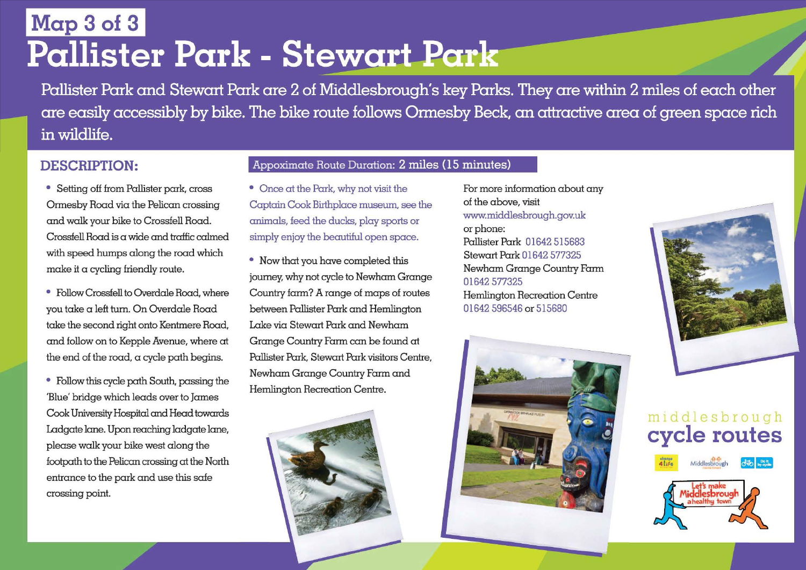# **Map 3 of 3**

Pallister Park and Stewart Park are 2 of Middlesbrough's key Parks. They are within 2 miles of each other are easily accessibly by bike. The bike route follows Ormesby Beck, an attractive area of green space rich in wildlife.

#### **DESCRIPTION:**

- Setting off from Pallister park, cross Ormesby Road via the Pelican crossing and walk your bike to Crossfell Road. Crossfell Road is a wide and traffic calmed with speed humps along the road which make it a cycling friendly route.
- Follow Crossfell to Overdale Road, where you take a left turn. On Overdale Road take the second right onto Kentmere Road, and follow on to Kepple Avenue, where at the end of the road, a cycle path begins.
- Cook University Hospital and Head towards Ladgate lane. Upon reaching ladgate lane, please walk your bike west along the footpath to the Pelican crossing at the North entrance to the park and use this safe • Follow this cycle path South, passing the 'Blue' bridge which leads over to James crossing point.

#### Appoximate Route Duration: 2 miles ( 15 minutes)

- Once at the Park, why not visit the Captain Cook Birthplace museum, see the animals, feed the ducks, play sports or simply enjoy the beautiful open space.
- Now that you have completed this journey, why not cycle to NewhamGrange Country farm? A range of maps of routes between Pallister Park and Hemlington Lake via Stewart Park and Newham Grange Country Farm can be found at Pallister Park, Stewart Park visitors Centre, Newham Grange Country Farm and Hemlington Recreation Centre.



For more information about any of the above, visit www.middlesbrough.gov.uk or phone: Pallister Park 01642 515683 Stewart Park 01642 577325 Newham Grange Country Farm 01642 577325 Hemlington Recreation Centre 01642 596546 or 515680





### m1ddlesbrough **cycle routes**